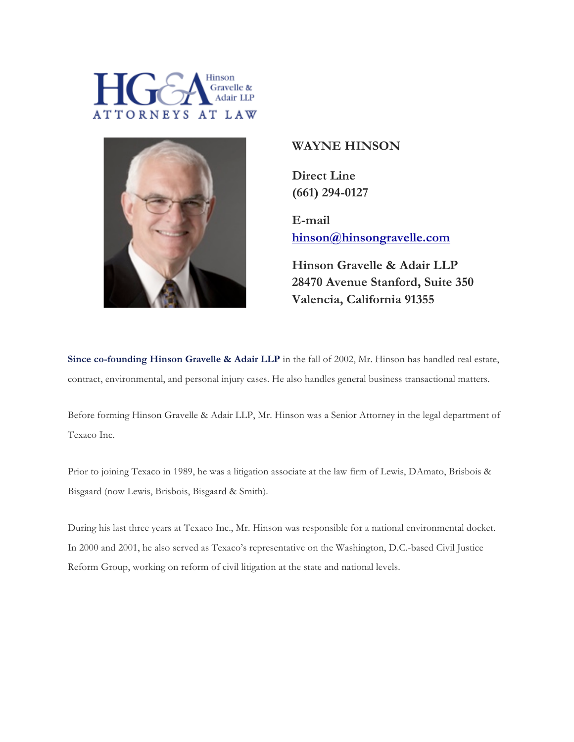



## **WAYNE HINSON**

**Direct Line (661) 294-0127**

**E-mail hinson@hinsongravelle.com**

**Hinson Gravelle & Adair LLP 28470 Avenue Stanford, Suite 350 Valencia, California 91355**

**Since co-founding Hinson Gravelle & Adair LLP** in the fall of 2002, Mr. Hinson has handled real estate, contract, environmental, and personal injury cases. He also handles general business transactional matters.

Before forming Hinson Gravelle & Adair LLP, Mr. Hinson was a Senior Attorney in the legal department of Texaco Inc.

Prior to joining Texaco in 1989, he was a litigation associate at the law firm of Lewis, DAmato, Brisbois & Bisgaard (now Lewis, Brisbois, Bisgaard & Smith).

During his last three years at Texaco Inc., Mr. Hinson was responsible for a national environmental docket. In 2000 and 2001, he also served as Texaco's representative on the Washington, D.C.-based Civil Justice Reform Group, working on reform of civil litigation at the state and national levels.